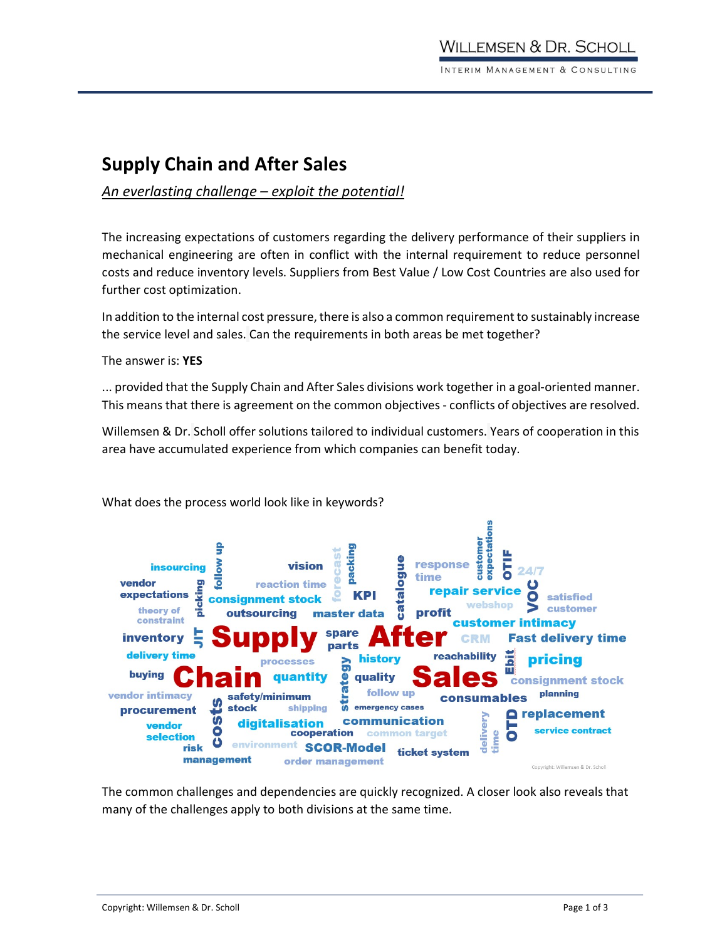# Supply Chain and After Sales

## An everlasting challenge – exploit the potential!

The increasing expectations of customers regarding the delivery performance of their suppliers in mechanical engineering are often in conflict with the internal requirement to reduce personnel costs and reduce inventory levels. Suppliers from Best Value / Low Cost Countries are also used for further cost optimization.

In addition to the internal cost pressure, there is also a common requirement to sustainably increase the service level and sales. Can the requirements in both areas be met together?

The answer is: YES

... provided that the Supply Chain and After Sales divisions work together in a goal-oriented manner. This means that there is agreement on the common objectives - conflicts of objectives are resolved.

Willemsen & Dr. Scholl offer solutions tailored to individual customers. Years of cooperation in this area have accumulated experience from which companies can benefit today.



What does the process world look like in keywords?

many of the challenges apply to both divisions at the same time.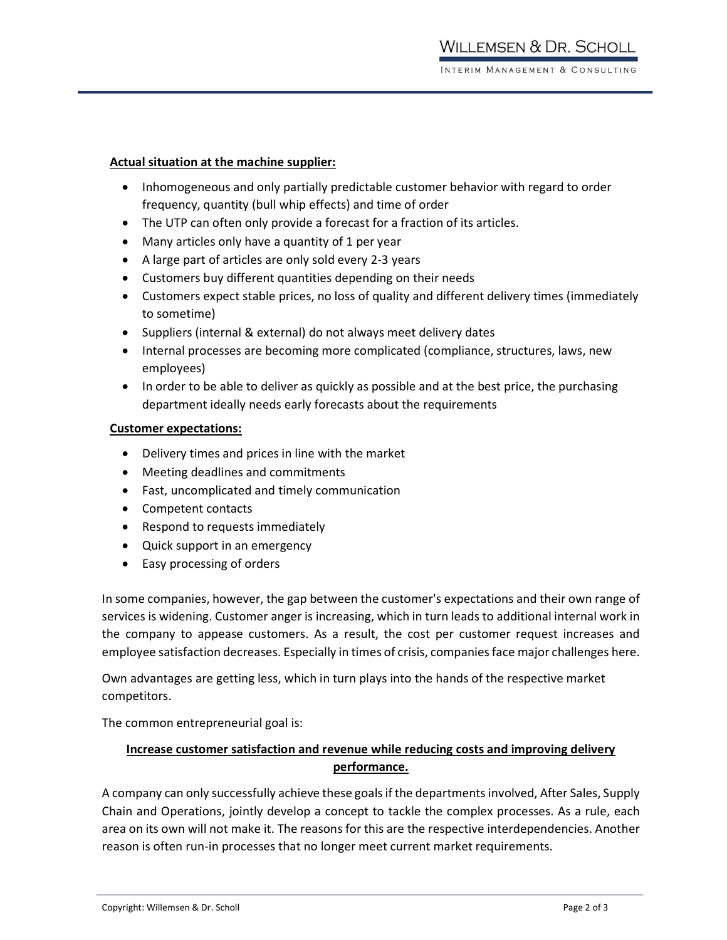#### Actual situation at the machine supplier:

- Inhomogeneous and only partially predictable customer behavior with regard to order frequency, quantity (bull whip effects) and time of order
- The UTP can often only provide a forecast for a fraction of its articles.
- Many articles only have a quantity of 1 per year
- A large part of articles are only sold every 2-3 years
- Customers buy different quantities depending on their needs
- Customers expect stable prices, no loss of quality and different delivery times (immediately to sometime)
- Suppliers (internal & external) do not always meet delivery dates
- Internal processes are becoming more complicated (compliance, structures, laws, new employees)
- In order to be able to deliver as quickly as possible and at the best price, the purchasing department ideally needs early forecasts about the requirements

#### Customer expectations:

- Delivery times and prices in line with the market
- Meeting deadlines and commitments
- Fast, uncomplicated and timely communication
- Competent contacts
- Respond to requests immediately
- Quick support in an emergency
- Easy processing of orders

In some companies, however, the gap between the customer's expectations and their own range of services is widening. Customer anger is increasing, which in turn leads to additional internal work in the company to appease customers. As a result, the cost per customer request increases and employee satisfaction decreases. Especially in times of crisis, companies face major challenges here.

Own advantages are getting less, which in turn plays into the hands of the respective market competitors.

The common entrepreneurial goal is:

### Increase customer satisfaction and revenue while reducing costs and improving delivery performance.

A company can only successfully achieve these goals if the departments involved, After Sales, Supply Chain and Operations, jointly develop a concept to tackle the complex processes. As a rule, each area on its own will not make it. The reasons for this are the respective interdependencies. Another reason is often run-in processes that no longer meet current market requirements.